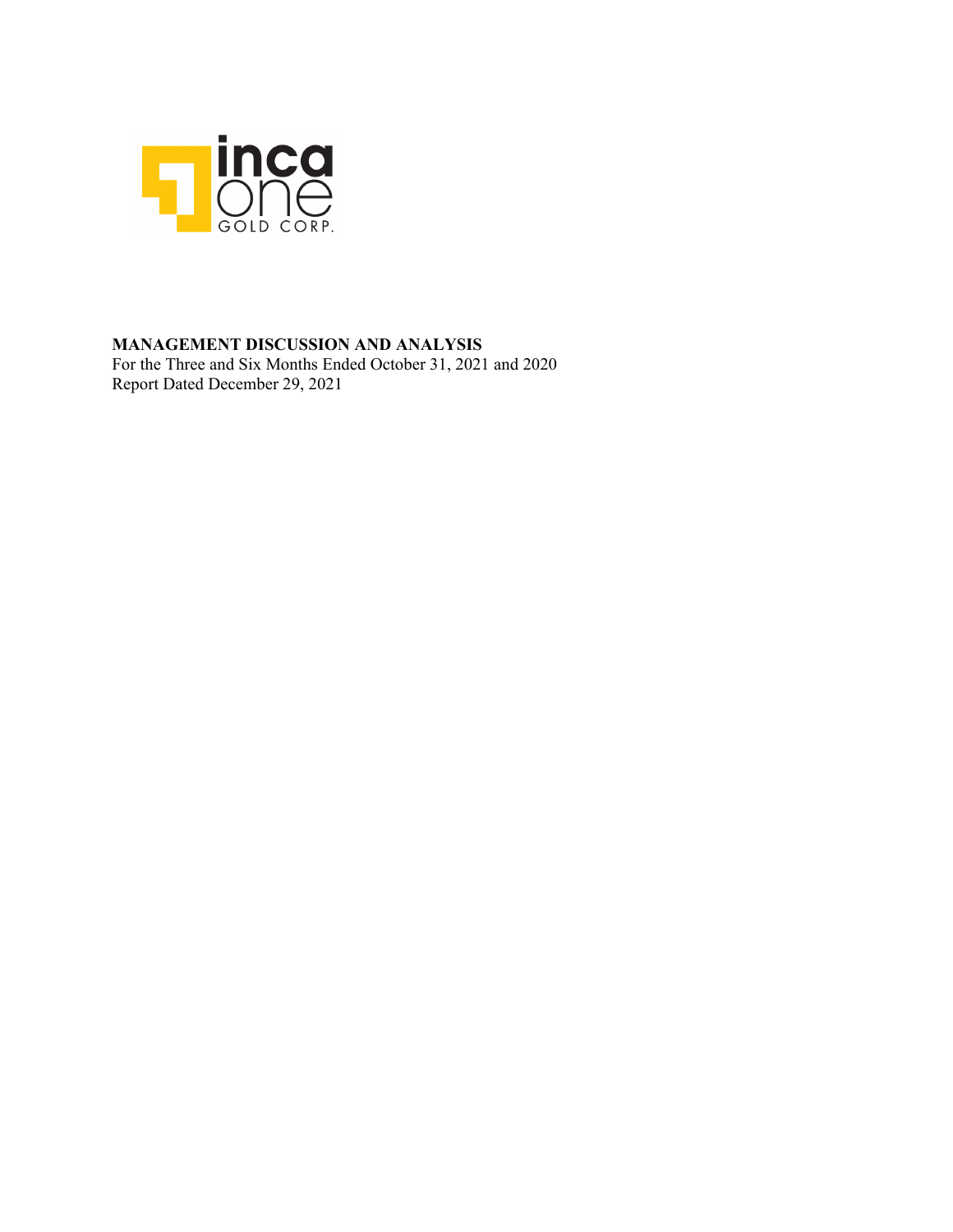

### **MANAGEMENT DISCUSSION AND ANALYSIS**

For the Three and Six Months Ended October 31, 2021 and 2020 Report Dated December 29, 2021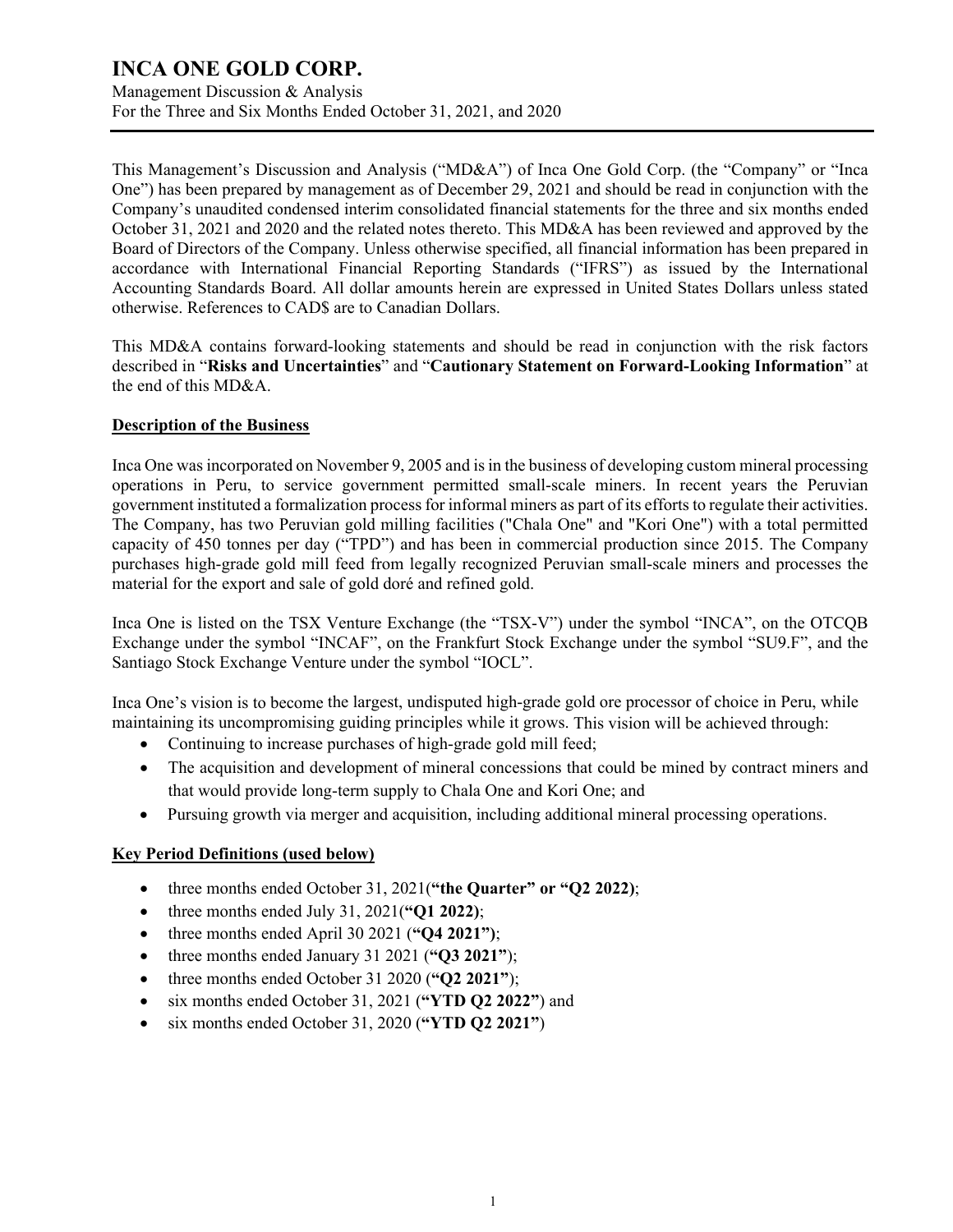Management Discussion & Analysis For the Three and Six Months Ended October 31, 2021, and 2020

This Management's Discussion and Analysis ("MD&A") of Inca One Gold Corp. (the "Company" or "Inca One") has been prepared by management as of December 29, 2021 and should be read in conjunction with the Company's unaudited condensed interim consolidated financial statements for the three and six months ended October 31, 2021 and 2020 and the related notes thereto. This MD&A has been reviewed and approved by the Board of Directors of the Company. Unless otherwise specified, all financial information has been prepared in accordance with International Financial Reporting Standards ("IFRS") as issued by the International Accounting Standards Board. All dollar amounts herein are expressed in United States Dollars unless stated otherwise. References to CAD\$ are to Canadian Dollars.

This MD&A contains forward-looking statements and should be read in conjunction with the risk factors described in "**Risks and Uncertainties**" and "**Cautionary Statement on Forward-Looking Information**" at the end of this MD&A.

#### **Description of the Business**

Inca One was incorporated on November 9, 2005 and is in the business of developing custom mineral processing operations in Peru, to service government permitted small-scale miners. In recent years the Peruvian government instituted a formalization process for informal miners as part of its efforts to regulate their activities. The Company, has two Peruvian gold milling facilities ("Chala One" and "Kori One") with a total permitted capacity of 450 tonnes per day ("TPD") and has been in commercial production since 2015. The Company purchases high-grade gold mill feed from legally recognized Peruvian small-scale miners and processes the material for the export and sale of gold doré and refined gold.

Inca One is listed on the TSX Venture Exchange (the "TSX-V") under the symbol "INCA", on the OTCQB Exchange under the symbol "INCAF", on the Frankfurt Stock Exchange under the symbol "SU9.F", and the Santiago Stock Exchange Venture under the symbol "IOCL".

Inca One's vision is to become the largest, undisputed high-grade gold ore processor of choice in Peru, while maintaining its uncompromising guiding principles while it grows. This vision will be achieved through:

- Continuing to increase purchases of high-grade gold mill feed;
- The acquisition and development of mineral concessions that could be mined by contract miners and that would provide long-term supply to Chala One and Kori One; and
- Pursuing growth via merger and acquisition, including additional mineral processing operations.

### **Key Period Definitions (used below)**

- three months ended October 31, 2021(**"the Quarter" or "Q2 2022)**;
- three months ended July 31, 2021(**"Q1 2022)**;
- three months ended April 30 2021 (**"Q4 2021")**;
- three months ended January 31 2021 (**"Q3 2021"**);
- three months ended October 31 2020 (**"Q2 2021"**);
- six months ended October 31, 2021 (**"YTD Q2 2022"**) and
- six months ended October 31, 2020 (**"YTD Q2 2021"**)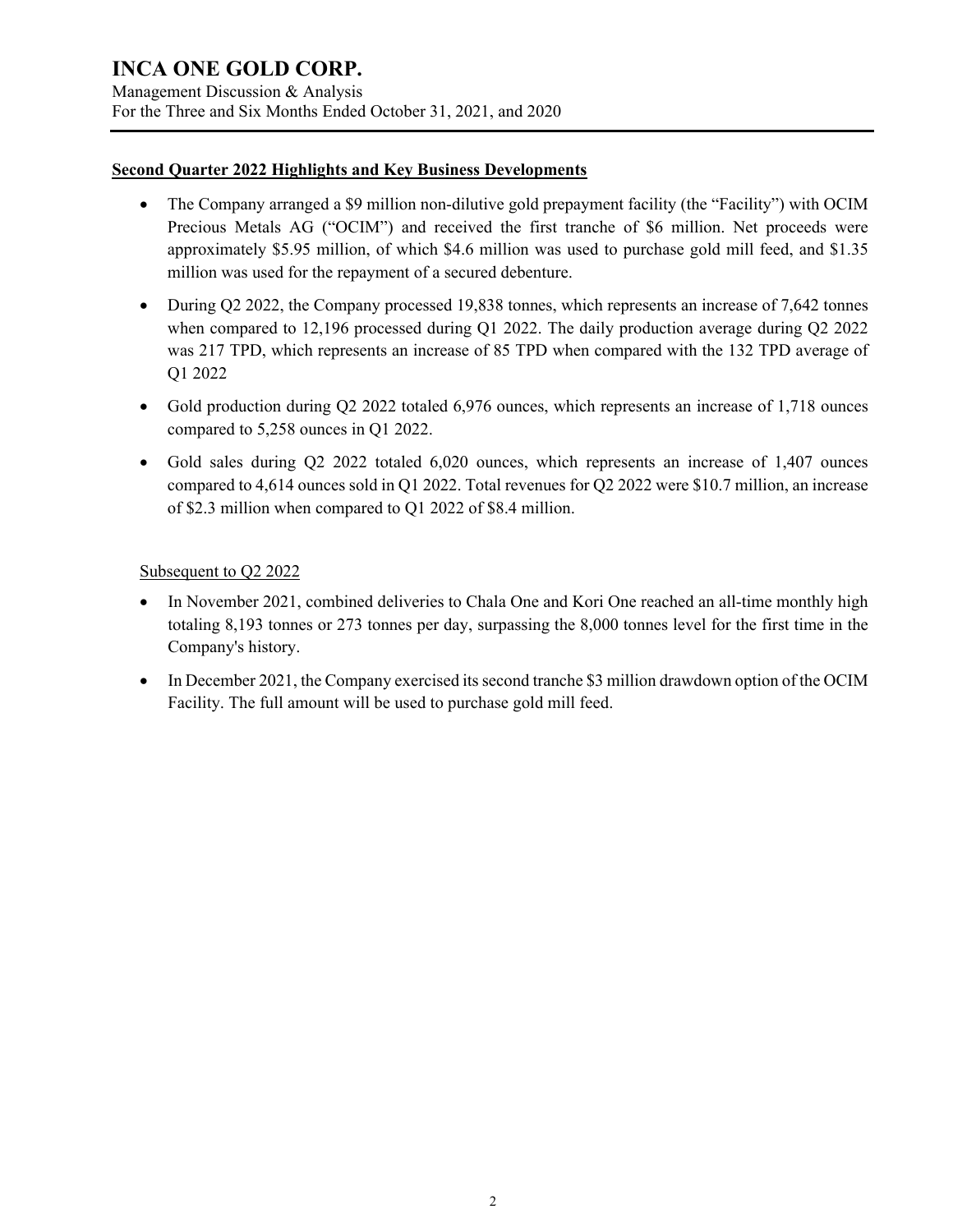Management Discussion & Analysis For the Three and Six Months Ended October 31, 2021, and 2020

#### **Second Quarter 2022 Highlights and Key Business Developments**

- The Company arranged a \$9 million non-dilutive gold prepayment facility (the "Facility") with OCIM Precious Metals AG ("OCIM") and received the first tranche of \$6 million. Net proceeds were approximately \$5.95 million, of which \$4.6 million was used to purchase gold mill feed, and \$1.35 million was used for the repayment of a secured debenture.
- During Q2 2022, the Company processed 19,838 tonnes, which represents an increase of 7,642 tonnes when compared to 12,196 processed during Q1 2022. The daily production average during Q2 2022 was 217 TPD, which represents an increase of 85 TPD when compared with the 132 TPD average of Q1 2022
- Gold production during Q2 2022 totaled 6,976 ounces, which represents an increase of 1,718 ounces compared to 5,258 ounces in Q1 2022.
- Gold sales during Q2 2022 totaled 6,020 ounces, which represents an increase of 1,407 ounces compared to 4,614 ounces sold in Q1 2022. Total revenues for Q2 2022 were \$10.7 million, an increase of \$2.3 million when compared to Q1 2022 of \$8.4 million.

### Subsequent to Q2 2022

- In November 2021, combined deliveries to Chala One and Kori One reached an all-time monthly high totaling 8,193 tonnes or 273 tonnes per day, surpassing the 8,000 tonnes level for the first time in the Company's history.
- In December 2021, the Company exercised its second tranche \$3 million drawdown option of the OCIM Facility. The full amount will be used to purchase gold mill feed.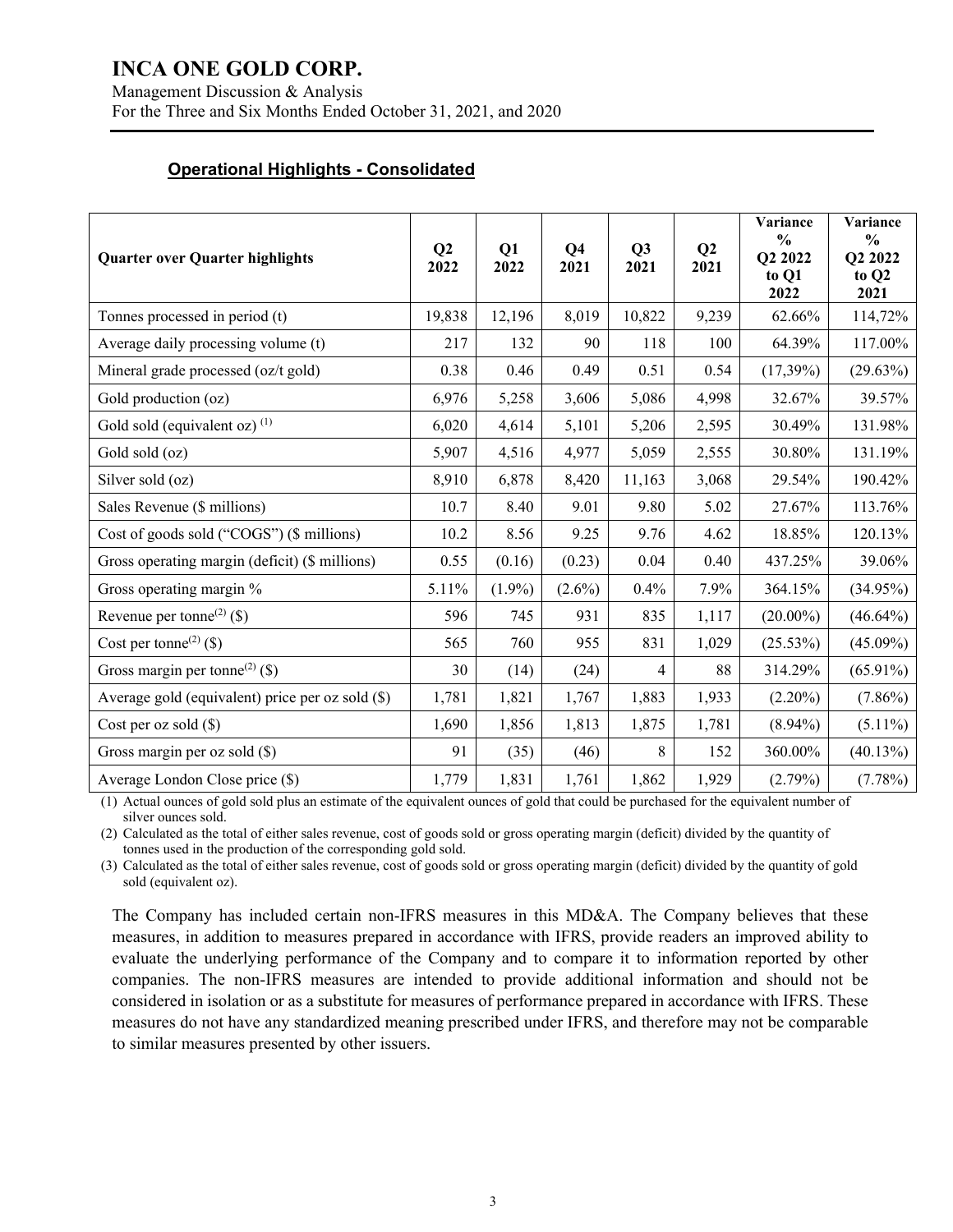Management Discussion & Analysis For the Three and Six Months Ended October 31, 2021, and 2020

#### **Operational Highlights - Consolidated**

| <b>Quarter over Quarter highlights</b>           | Q2<br>2022 | Q1<br>2022 | Q <sub>4</sub><br>2021 | Q <sub>3</sub><br>2021 | Q2<br>2021 | Variance<br>$\frac{0}{0}$<br>Q2 2022<br>to Q1<br>2022 | Variance<br>$\frac{6}{6}$<br>O2 2022<br>to Q2<br>2021 |
|--------------------------------------------------|------------|------------|------------------------|------------------------|------------|-------------------------------------------------------|-------------------------------------------------------|
| Tonnes processed in period (t)                   | 19,838     | 12,196     | 8,019                  | 10,822                 | 9,239      | 62.66%                                                | 114,72%                                               |
| Average daily processing volume (t)              | 217        | 132        | 90                     | 118                    | 100        | 64.39%                                                | 117.00%                                               |
| Mineral grade processed (oz/t gold)              | 0.38       | 0.46       | 0.49                   | 0.51                   | 0.54       | $(17,39\%)$                                           | (29.63%)                                              |
| Gold production (oz)                             | 6,976      | 5,258      | 3,606                  | 5,086                  | 4,998      | 32.67%                                                | 39.57%                                                |
| Gold sold (equivalent oz) $(1)$                  | 6,020      | 4,614      | 5,101                  | 5,206                  | 2,595      | 30.49%                                                | 131.98%                                               |
| Gold sold (oz)                                   | 5,907      | 4,516      | 4,977                  | 5,059                  | 2,555      | 30.80%                                                | 131.19%                                               |
| Silver sold (oz)                                 | 8,910      | 6,878      | 8,420                  | 11,163                 | 3,068      | 29.54%                                                | 190.42%                                               |
| Sales Revenue (\$ millions)                      | 10.7       | 8.40       | 9.01                   | 9.80                   | 5.02       | 27.67%                                                | 113.76%                                               |
| Cost of goods sold ("COGS") (\$ millions)        | 10.2       | 8.56       | 9.25                   | 9.76                   | 4.62       | 18.85%                                                | 120.13%                                               |
| Gross operating margin (deficit) (\$ millions)   | 0.55       | (0.16)     | (0.23)                 | 0.04                   | 0.40       | 437.25%                                               | 39.06%                                                |
| Gross operating margin %                         | 5.11%      | $(1.9\%)$  | $(2.6\%)$              | 0.4%                   | 7.9%       | 364.15%                                               | $(34.95\%)$                                           |
| Revenue per tonne <sup>(2)</sup> (\$)            | 596        | 745        | 931                    | 835                    | 1,117      | $(20.00\%)$                                           | $(46.64\%)$                                           |
| Cost per tonne <sup>(2)</sup> (\$)               | 565        | 760        | 955                    | 831                    | 1,029      | (25.53%)                                              | $(45.09\%)$                                           |
| Gross margin per tonne <sup>(2)</sup> (\$)       | 30         | (14)       | (24)                   | 4                      | 88         | 314.29%                                               | $(65.91\%)$                                           |
| Average gold (equivalent) price per oz sold (\$) | 1,781      | 1,821      | 1,767                  | 1,883                  | 1,933      | $(2.20\%)$                                            | $(7.86\%)$                                            |
| Cost per oz sold $(\$)$                          | 1,690      | 1,856      | 1,813                  | 1,875                  | 1,781      | $(8.94\%)$                                            | $(5.11\%)$                                            |
| Gross margin per oz sold (\$)                    | 91         | (35)       | (46)                   | 8                      | 152        | 360.00%                                               | (40.13%)                                              |
| Average London Close price (\$)                  | 1,779      | 1,831      | 1,761                  | 1,862                  | 1,929      | (2.79%)                                               | (7.78%)                                               |

(1) Actual ounces of gold sold plus an estimate of the equivalent ounces of gold that could be purchased for the equivalent number of silver ounces sold.

(2) Calculated as the total of either sales revenue, cost of goods sold or gross operating margin (deficit) divided by the quantity of tonnes used in the production of the corresponding gold sold.

(3) Calculated as the total of either sales revenue, cost of goods sold or gross operating margin (deficit) divided by the quantity of gold sold (equivalent oz).

The Company has included certain non-IFRS measures in this MD&A. The Company believes that these measures, in addition to measures prepared in accordance with IFRS, provide readers an improved ability to evaluate the underlying performance of the Company and to compare it to information reported by other companies. The non-IFRS measures are intended to provide additional information and should not be considered in isolation or as a substitute for measures of performance prepared in accordance with IFRS. These measures do not have any standardized meaning prescribed under IFRS, and therefore may not be comparable to similar measures presented by other issuers.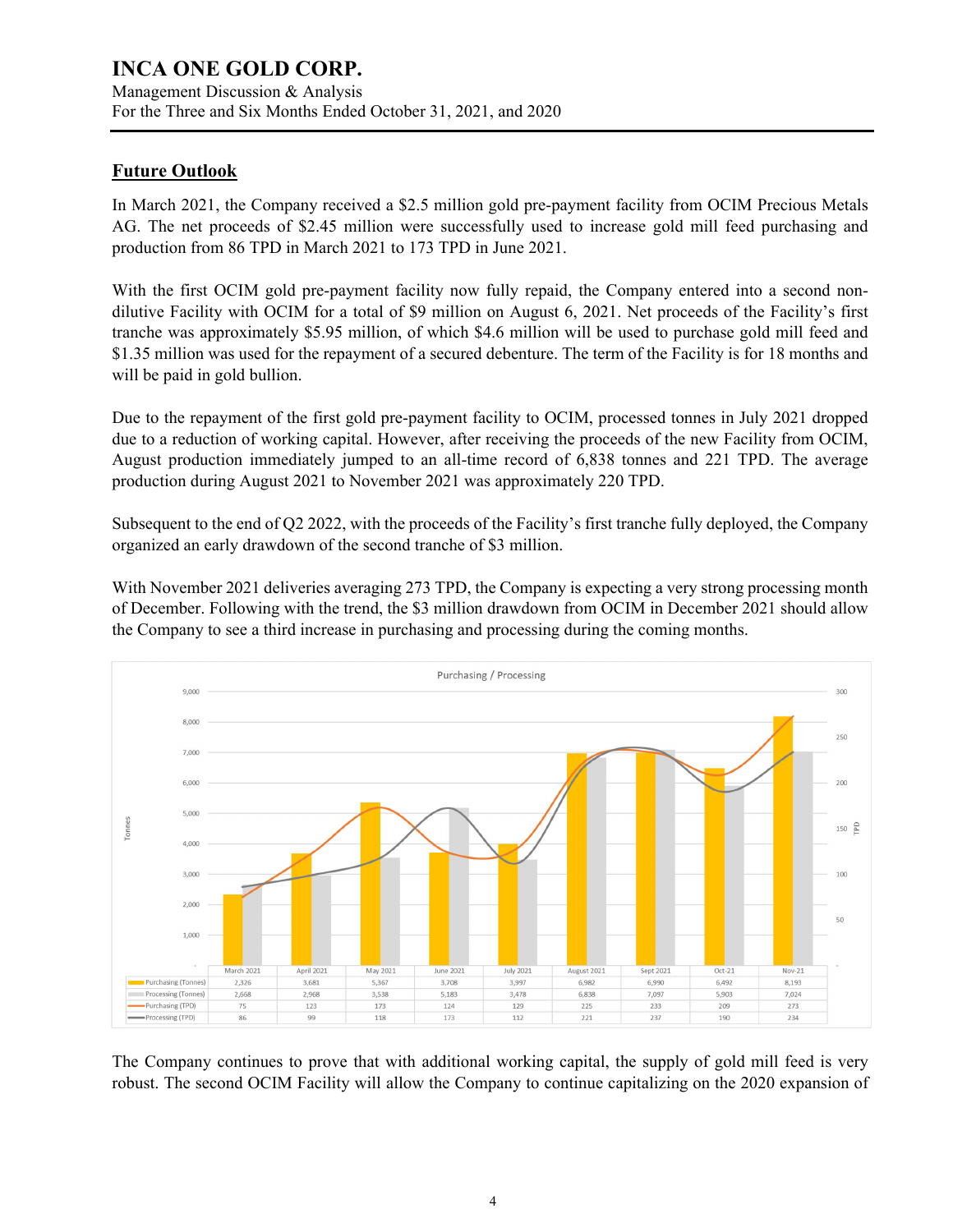Management Discussion & Analysis For the Three and Six Months Ended October 31, 2021, and 2020

### **Future Outlook**

In March 2021, the Company received a \$2.5 million gold pre-payment facility from OCIM Precious Metals AG. The net proceeds of \$2.45 million were successfully used to increase gold mill feed purchasing and production from 86 TPD in March 2021 to 173 TPD in June 2021.

With the first OCIM gold pre-payment facility now fully repaid, the Company entered into a second nondilutive Facility with OCIM for a total of \$9 million on August 6, 2021. Net proceeds of the Facility's first tranche was approximately \$5.95 million, of which \$4.6 million will be used to purchase gold mill feed and \$1.35 million was used for the repayment of a secured debenture. The term of the Facility is for 18 months and will be paid in gold bullion.

Due to the repayment of the first gold pre-payment facility to OCIM, processed tonnes in July 2021 dropped due to a reduction of working capital. However, after receiving the proceeds of the new Facility from OCIM, August production immediately jumped to an all-time record of 6,838 tonnes and 221 TPD. The average production during August 2021 to November 2021 was approximately 220 TPD.

Subsequent to the end of Q2 2022, with the proceeds of the Facility's first tranche fully deployed, the Company organized an early drawdown of the second tranche of \$3 million.

With November 2021 deliveries averaging 273 TPD, the Company is expecting a very strong processing month of December. Following with the trend, the \$3 million drawdown from OCIM in December 2021 should allow the Company to see a third increase in purchasing and processing during the coming months.



The Company continues to prove that with additional working capital, the supply of gold mill feed is very robust. The second OCIM Facility will allow the Company to continue capitalizing on the 2020 expansion of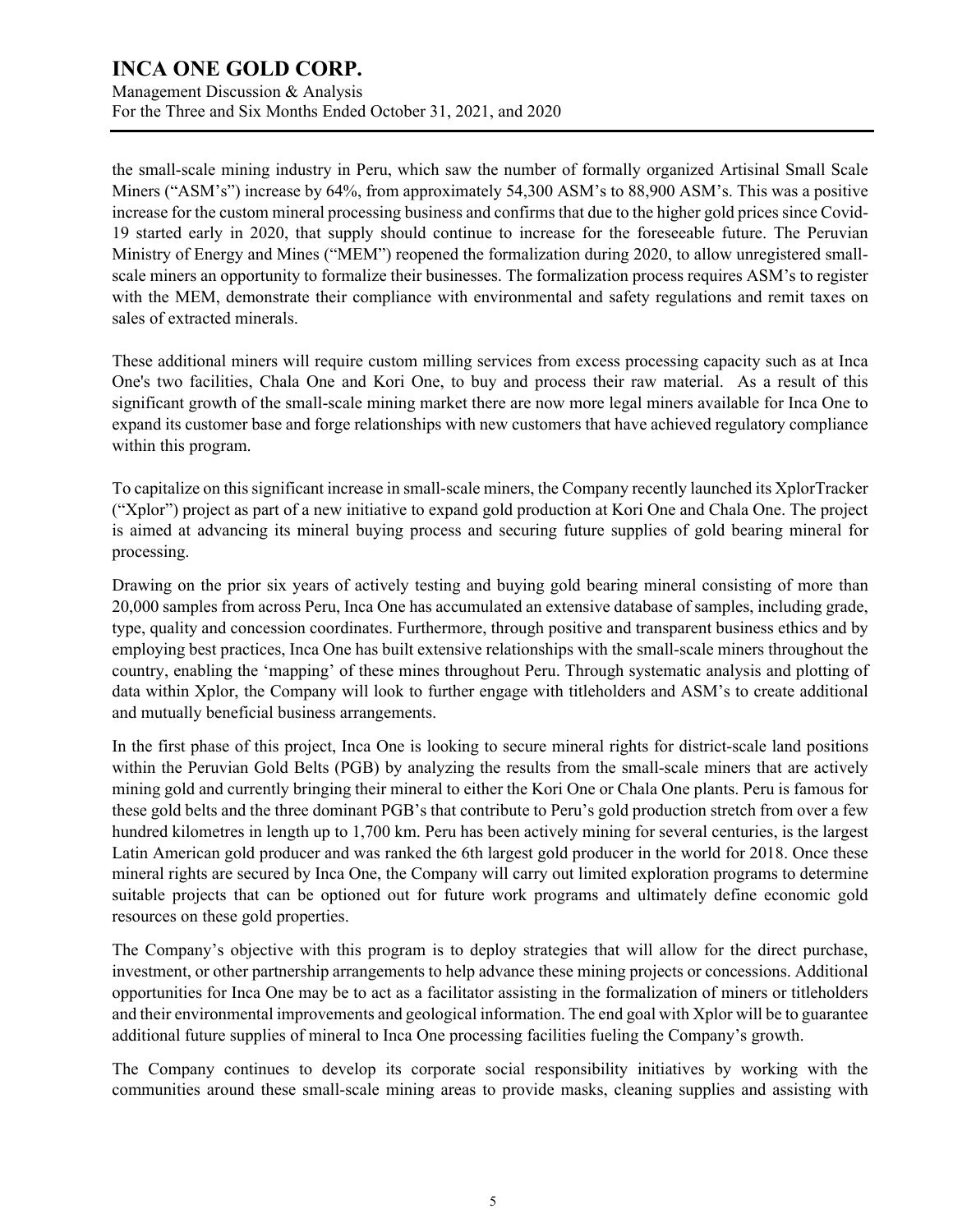Management Discussion & Analysis For the Three and Six Months Ended October 31, 2021, and 2020

the small-scale mining industry in Peru, which saw the number of formally organized Artisinal Small Scale Miners ("ASM's") increase by 64%, from approximately 54,300 ASM's to 88,900 ASM's. This was a positive increase for the custom mineral processing business and confirms that due to the higher gold prices since Covid-19 started early in 2020, that supply should continue to increase for the foreseeable future. The Peruvian Ministry of Energy and Mines ("MEM") reopened the formalization during 2020, to allow unregistered smallscale miners an opportunity to formalize their businesses. The formalization process requires ASM's to register with the MEM, demonstrate their compliance with environmental and safety regulations and remit taxes on sales of extracted minerals.

These additional miners will require custom milling services from excess processing capacity such as at Inca One's two facilities, Chala One and Kori One, to buy and process their raw material. As a result of this significant growth of the small-scale mining market there are now more legal miners available for Inca One to expand its customer base and forge relationships with new customers that have achieved regulatory compliance within this program.

To capitalize on this significant increase in small-scale miners, the Company recently launched its XplorTracker ("Xplor") project as part of a new initiative to expand gold production at Kori One and Chala One. The project is aimed at advancing its mineral buying process and securing future supplies of gold bearing mineral for processing.

Drawing on the prior six years of actively testing and buying gold bearing mineral consisting of more than 20,000 samples from across Peru, Inca One has accumulated an extensive database of samples, including grade, type, quality and concession coordinates. Furthermore, through positive and transparent business ethics and by employing best practices, Inca One has built extensive relationships with the small-scale miners throughout the country, enabling the 'mapping' of these mines throughout Peru. Through systematic analysis and plotting of data within Xplor, the Company will look to further engage with titleholders and ASM's to create additional and mutually beneficial business arrangements.

In the first phase of this project, Inca One is looking to secure mineral rights for district-scale land positions within the Peruvian Gold Belts (PGB) by analyzing the results from the small-scale miners that are actively mining gold and currently bringing their mineral to either the Kori One or Chala One plants. Peru is famous for these gold belts and the three dominant PGB's that contribute to Peru's gold production stretch from over a few hundred kilometres in length up to 1,700 km. Peru has been actively mining for several centuries, is the largest Latin American gold producer and was ranked the 6th largest gold producer in the world for 2018. Once these mineral rights are secured by Inca One, the Company will carry out limited exploration programs to determine suitable projects that can be optioned out for future work programs and ultimately define economic gold resources on these gold properties.

The Company's objective with this program is to deploy strategies that will allow for the direct purchase, investment, or other partnership arrangements to help advance these mining projects or concessions. Additional opportunities for Inca One may be to act as a facilitator assisting in the formalization of miners or titleholders and their environmental improvements and geological information. The end goal with Xplor will be to guarantee additional future supplies of mineral to Inca One processing facilities fueling the Company's growth.

The Company continues to develop its corporate social responsibility initiatives by working with the communities around these small-scale mining areas to provide masks, cleaning supplies and assisting with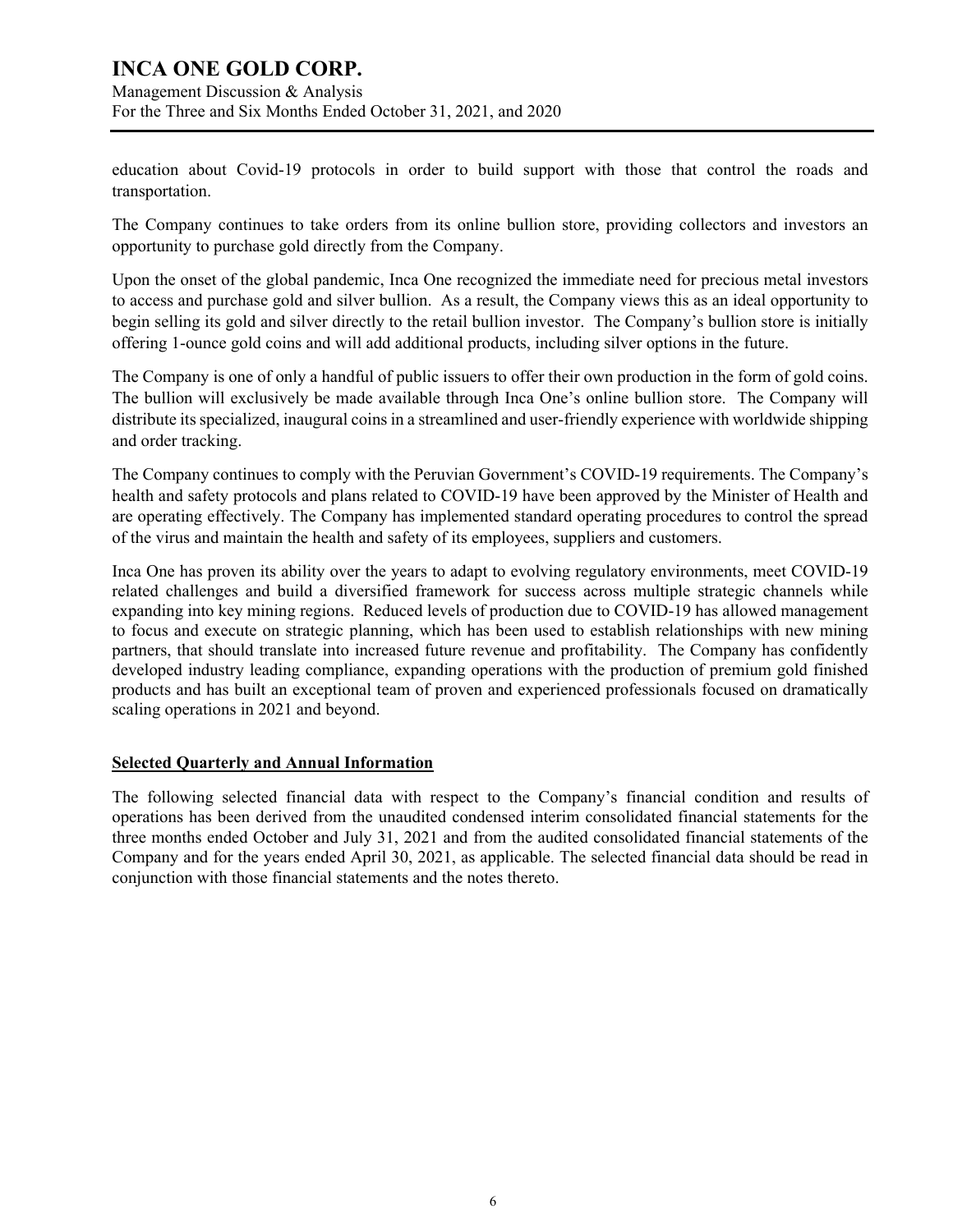Management Discussion & Analysis For the Three and Six Months Ended October 31, 2021, and 2020

education about Covid-19 protocols in order to build support with those that control the roads and transportation.

The Company continues to take orders from its online bullion store, providing collectors and investors an opportunity to purchase gold directly from the Company.

Upon the onset of the global pandemic, Inca One recognized the immediate need for precious metal investors to access and purchase gold and silver bullion. As a result, the Company views this as an ideal opportunity to begin selling its gold and silver directly to the retail bullion investor. The Company's bullion store is initially offering 1-ounce gold coins and will add additional products, including silver options in the future.

The Company is one of only a handful of public issuers to offer their own production in the form of gold coins. The bullion will exclusively be made available through Inca One's online bullion store. The Company will distribute its specialized, inaugural coins in a streamlined and user-friendly experience with worldwide shipping and order tracking.

The Company continues to comply with the Peruvian Government's COVID-19 requirements. The Company's health and safety protocols and plans related to COVID-19 have been approved by the Minister of Health and are operating effectively. The Company has implemented standard operating procedures to control the spread of the virus and maintain the health and safety of its employees, suppliers and customers.

Inca One has proven its ability over the years to adapt to evolving regulatory environments, meet COVID-19 related challenges and build a diversified framework for success across multiple strategic channels while expanding into key mining regions. Reduced levels of production due to COVID-19 has allowed management to focus and execute on strategic planning, which has been used to establish relationships with new mining partners, that should translate into increased future revenue and profitability. The Company has confidently developed industry leading compliance, expanding operations with the production of premium gold finished products and has built an exceptional team of proven and experienced professionals focused on dramatically scaling operations in 2021 and beyond.

#### **Selected Quarterly and Annual Information**

The following selected financial data with respect to the Company's financial condition and results of operations has been derived from the unaudited condensed interim consolidated financial statements for the three months ended October and July 31, 2021 and from the audited consolidated financial statements of the Company and for the years ended April 30, 2021, as applicable. The selected financial data should be read in conjunction with those financial statements and the notes thereto.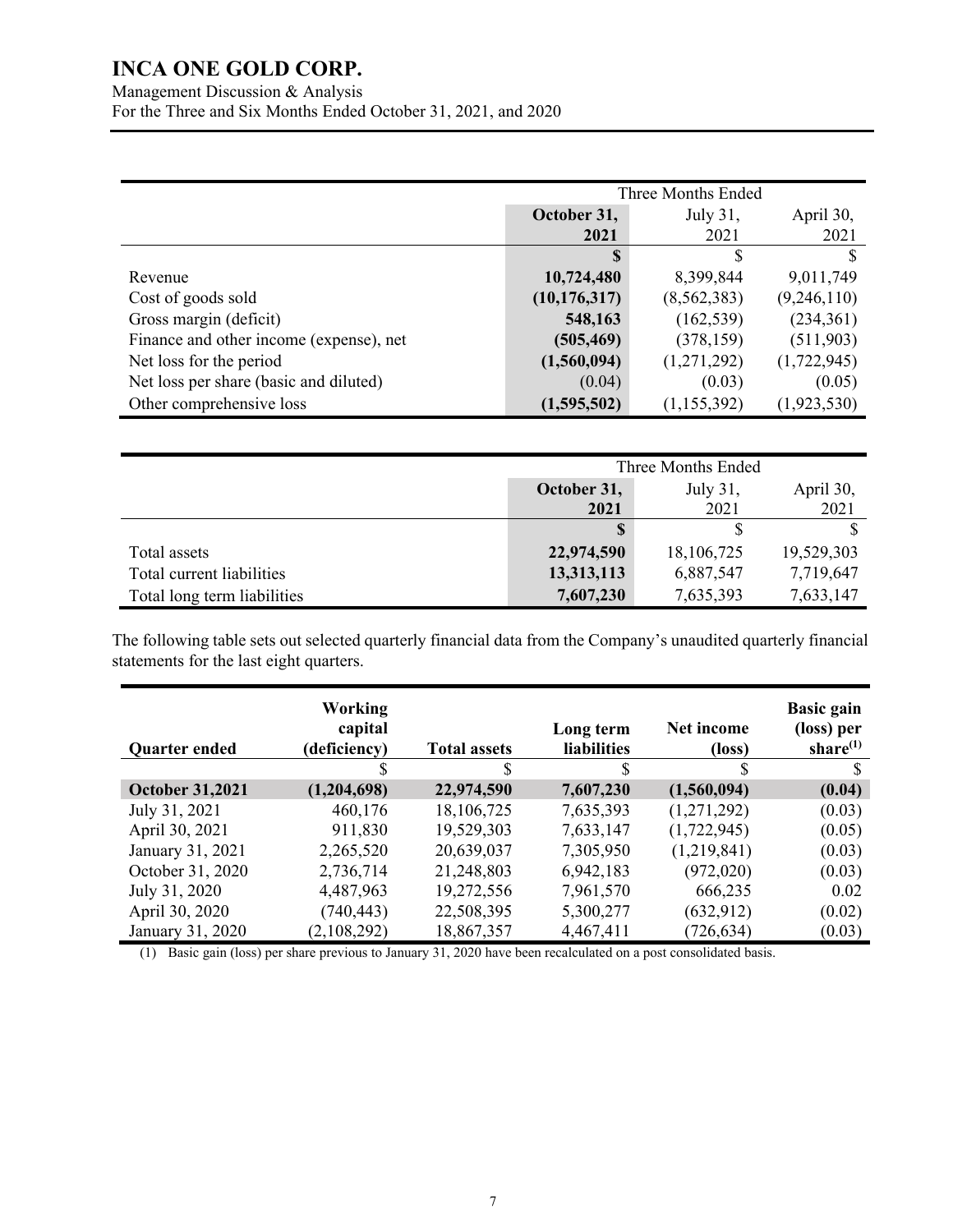Management Discussion & Analysis For the Three and Six Months Ended October 31, 2021, and 2020

|                                         | Three Months Ended |               |               |  |
|-----------------------------------------|--------------------|---------------|---------------|--|
|                                         | October 31,        | July 31,      | April 30,     |  |
|                                         | 2021               | 2021          | 2021          |  |
|                                         |                    | S             | S             |  |
| Revenue                                 | 10,724,480         | 8,399,844     | 9,011,749     |  |
| Cost of goods sold                      | (10, 176, 317)     | (8,562,383)   | (9,246,110)   |  |
| Gross margin (deficit)                  | 548,163            | (162, 539)    | (234,361)     |  |
| Finance and other income (expense), net | (505, 469)         | (378, 159)    | (511,903)     |  |
| Net loss for the period                 | (1,560,094)        | (1,271,292)   | (1,722,945)   |  |
| Net loss per share (basic and diluted)  | (0.04)             | (0.03)        | (0.05)        |  |
| Other comprehensive loss                | (1,595,502)        | (1, 155, 392) | (1, 923, 530) |  |

|                             | Three Months Ended                   |            |            |  |
|-----------------------------|--------------------------------------|------------|------------|--|
|                             | October 31,<br>July 31,<br>April 30, |            |            |  |
|                             | 2021                                 | 2021       | 2021       |  |
|                             |                                      |            |            |  |
| Total assets                | 22,974,590                           | 18,106,725 | 19,529,303 |  |
| Total current liabilities   | 13,313,113                           | 6,887,547  | 7,719,647  |  |
| Total long term liabilities | 7,607,230                            | 7,635,393  | 7,633,147  |  |

The following table sets out selected quarterly financial data from the Company's unaudited quarterly financial statements for the last eight quarters.

| <b>Quarter ended</b>   | <b>Working</b><br>capital<br>(deficiency) | <b>Total assets</b> | Long term<br><b>liabilities</b> | Net income<br>(loss) | <b>Basic gain</b><br>(loss) per<br>share $(1)$ |
|------------------------|-------------------------------------------|---------------------|---------------------------------|----------------------|------------------------------------------------|
|                        |                                           | S                   | S                               |                      |                                                |
| <b>October 31,2021</b> | (1,204,698)                               | 22,974,590          | 7,607,230                       | (1,560,094)          | (0.04)                                         |
| July 31, 2021          | 460,176                                   | 18,106,725          | 7,635,393                       | (1,271,292)          | (0.03)                                         |
| April 30, 2021         | 911,830                                   | 19,529,303          | 7,633,147                       | (1,722,945)          | (0.05)                                         |
| January 31, 2021       | 2,265,520                                 | 20,639,037          | 7,305,950                       | (1,219,841)          | (0.03)                                         |
| October 31, 2020       | 2,736,714                                 | 21,248,803          | 6,942,183                       | (972,020)            | (0.03)                                         |
| July 31, 2020          | 4,487,963                                 | 19,272,556          | 7,961,570                       | 666,235              | 0.02                                           |
| April 30, 2020         | (740, 443)                                | 22,508,395          | 5,300,277                       | (632, 912)           | (0.02)                                         |
| January 31, 2020       | (2,108,292)                               | 18,867,357          | 4,467,411                       | (726, 634)           | (0.03)                                         |

(1) Basic gain (loss) per share previous to January 31, 2020 have been recalculated on a post consolidated basis.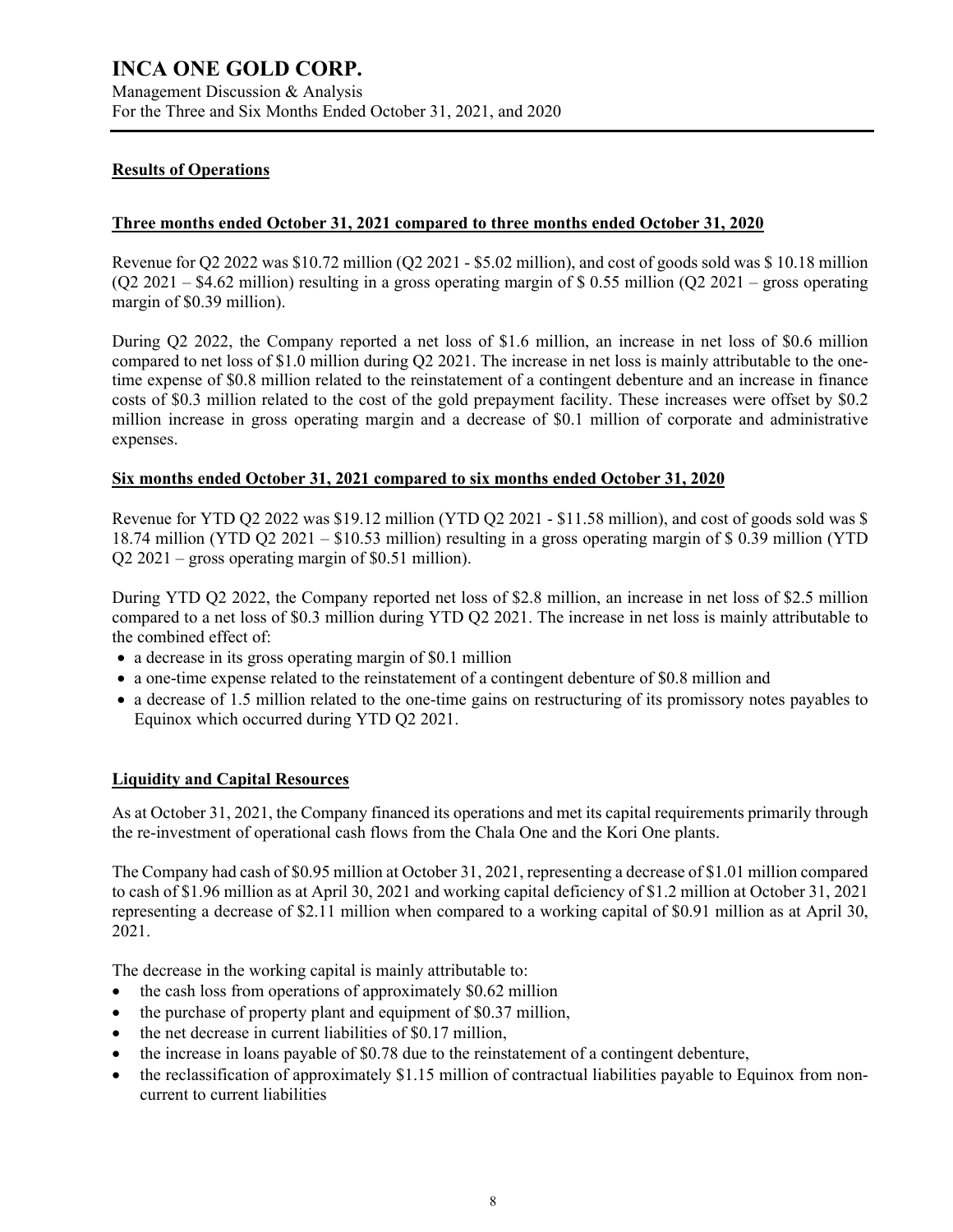#### **Results of Operations**

#### **Three months ended October 31, 2021 compared to three months ended October 31, 2020**

Revenue for Q2 2022 was \$10.72 million (Q2 2021 - \$5.02 million), and cost of goods sold was \$ 10.18 million (Q2 2021 – \$4.62 million) resulting in a gross operating margin of \$ 0.55 million (Q2 2021 – gross operating margin of \$0.39 million).

During Q2 2022, the Company reported a net loss of \$1.6 million, an increase in net loss of \$0.6 million compared to net loss of \$1.0 million during Q2 2021. The increase in net loss is mainly attributable to the onetime expense of \$0.8 million related to the reinstatement of a contingent debenture and an increase in finance costs of \$0.3 million related to the cost of the gold prepayment facility. These increases were offset by \$0.2 million increase in gross operating margin and a decrease of \$0.1 million of corporate and administrative expenses.

#### **Six months ended October 31, 2021 compared to six months ended October 31, 2020**

Revenue for YTD Q2 2022 was \$19.12 million (YTD Q2 2021 - \$11.58 million), and cost of goods sold was \$ 18.74 million (YTD Q2 2021 – \$10.53 million) resulting in a gross operating margin of \$ 0.39 million (YTD Q2 2021 – gross operating margin of \$0.51 million).

During YTD Q2 2022, the Company reported net loss of \$2.8 million, an increase in net loss of \$2.5 million compared to a net loss of \$0.3 million during YTD Q2 2021. The increase in net loss is mainly attributable to the combined effect of:

- a decrease in its gross operating margin of \$0.1 million
- a one-time expense related to the reinstatement of a contingent debenture of \$0.8 million and
- a decrease of 1.5 million related to the one-time gains on restructuring of its promissory notes payables to Equinox which occurred during YTD Q2 2021.

#### **Liquidity and Capital Resources**

As at October 31, 2021, the Company financed its operations and met its capital requirements primarily through the re-investment of operational cash flows from the Chala One and the Kori One plants.

The Company had cash of \$0.95 million at October 31, 2021, representing a decrease of \$1.01 million compared to cash of \$1.96 million as at April 30, 2021 and working capital deficiency of \$1.2 million at October 31, 2021 representing a decrease of \$2.11 million when compared to a working capital of \$0.91 million as at April 30, 2021.

The decrease in the working capital is mainly attributable to:

- the cash loss from operations of approximately \$0.62 million
- $\bullet$  the purchase of property plant and equipment of \$0.37 million,
- the net decrease in current liabilities of \$0.17 million,
- the increase in loans payable of \$0.78 due to the reinstatement of a contingent debenture,
- the reclassification of approximately \$1.15 million of contractual liabilities payable to Equinox from noncurrent to current liabilities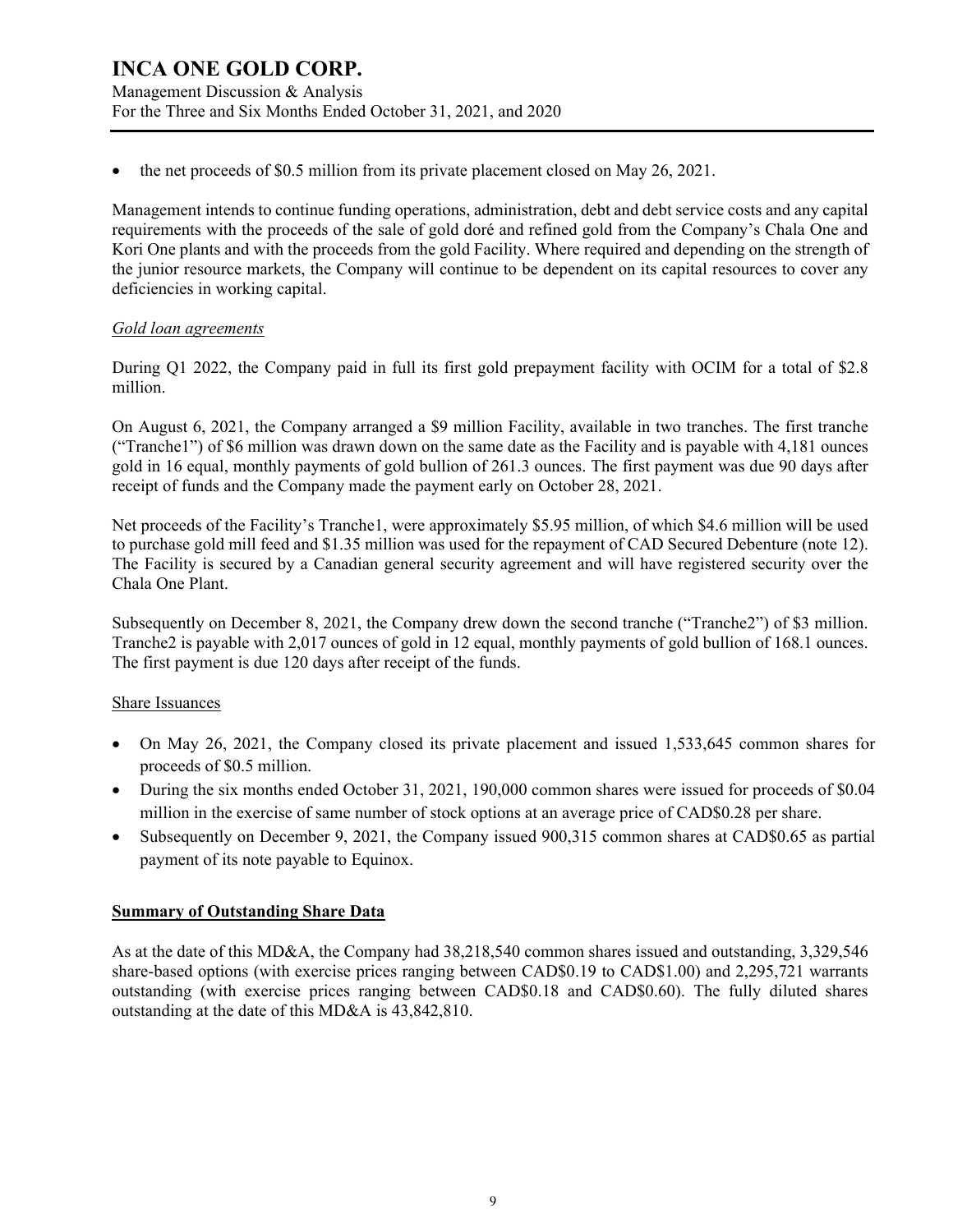Management Discussion & Analysis For the Three and Six Months Ended October 31, 2021, and 2020

the net proceeds of \$0.5 million from its private placement closed on May 26, 2021.

Management intends to continue funding operations, administration, debt and debt service costs and any capital requirements with the proceeds of the sale of gold doré and refined gold from the Company's Chala One and Kori One plants and with the proceeds from the gold Facility. Where required and depending on the strength of the junior resource markets, the Company will continue to be dependent on its capital resources to cover any deficiencies in working capital.

#### *Gold loan agreements*

During Q1 2022, the Company paid in full its first gold prepayment facility with OCIM for a total of \$2.8 million.

On August 6, 2021, the Company arranged a \$9 million Facility, available in two tranches. The first tranche ("Tranche1") of \$6 million was drawn down on the same date as the Facility and is payable with 4,181 ounces gold in 16 equal, monthly payments of gold bullion of 261.3 ounces. The first payment was due 90 days after receipt of funds and the Company made the payment early on October 28, 2021.

Net proceeds of the Facility's Tranche1, were approximately \$5.95 million, of which \$4.6 million will be used to purchase gold mill feed and \$1.35 million was used for the repayment of CAD Secured Debenture (note 12). The Facility is secured by a Canadian general security agreement and will have registered security over the Chala One Plant.

Subsequently on December 8, 2021, the Company drew down the second tranche ("Tranche2") of \$3 million. Tranche2 is payable with 2,017 ounces of gold in 12 equal, monthly payments of gold bullion of 168.1 ounces. The first payment is due 120 days after receipt of the funds.

#### Share Issuances

- On May 26, 2021, the Company closed its private placement and issued 1,533,645 common shares for proceeds of \$0.5 million.
- During the six months ended October 31, 2021, 190,000 common shares were issued for proceeds of \$0.04 million in the exercise of same number of stock options at an average price of CAD\$0.28 per share.
- Subsequently on December 9, 2021, the Company issued 900,315 common shares at CAD\$0.65 as partial payment of its note payable to Equinox.

#### **Summary of Outstanding Share Data**

As at the date of this MD&A, the Company had 38,218,540 common shares issued and outstanding, 3,329,546 share-based options (with exercise prices ranging between CAD\$0.19 to CAD\$1.00) and 2,295,721 warrants outstanding (with exercise prices ranging between CAD\$0.18 and CAD\$0.60). The fully diluted shares outstanding at the date of this MD&A is 43,842,810.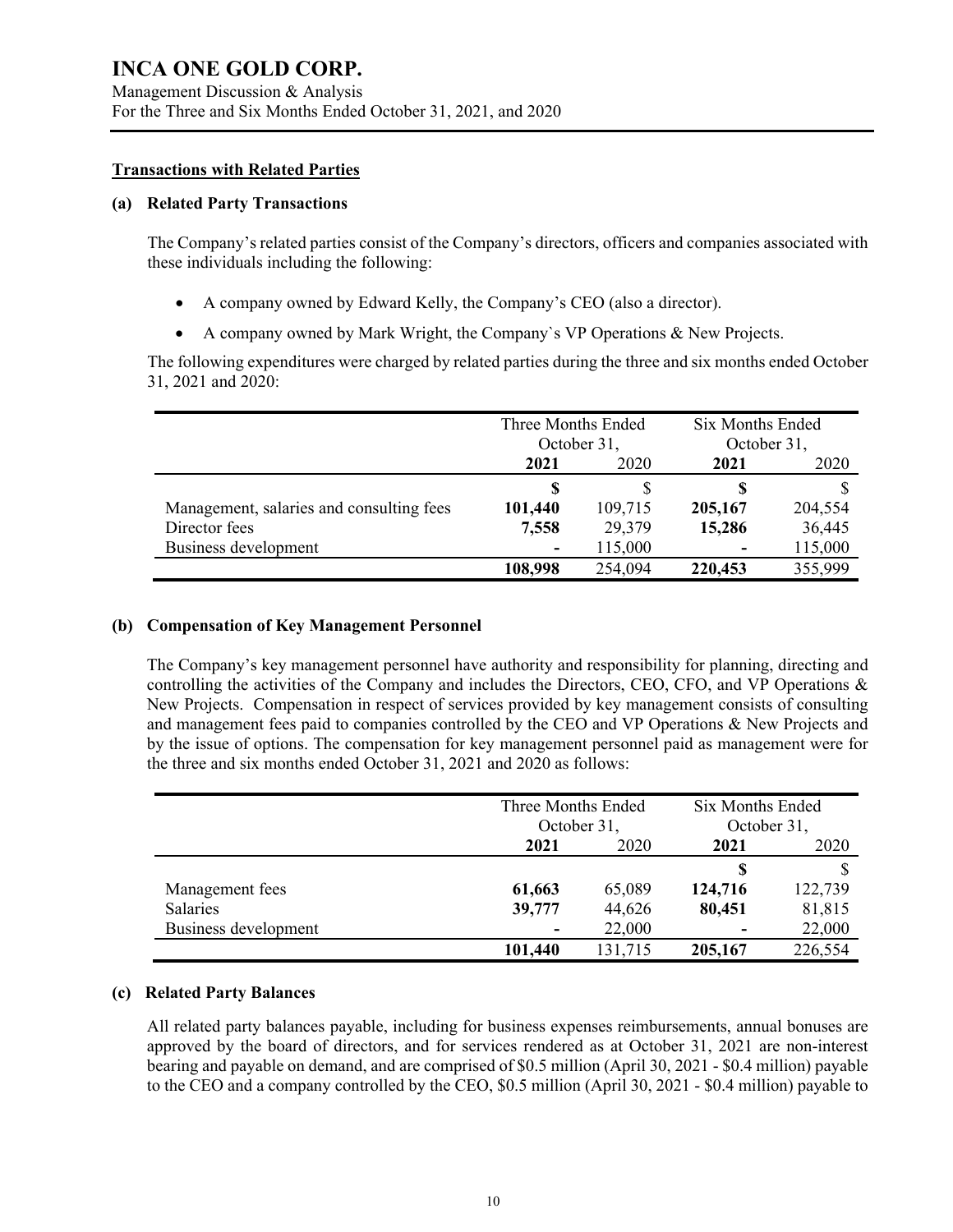#### **Transactions with Related Parties**

#### **(a) Related Party Transactions**

The Company's related parties consist of the Company's directors, officers and companies associated with these individuals including the following:

- A company owned by Edward Kelly, the Company's CEO (also a director).
- A company owned by Mark Wright, the Company`s VP Operations & New Projects.

The following expenditures were charged by related parties during the three and six months ended October 31, 2021 and 2020:

|                                          | Three Months Ended<br>October 31, |         | Six Months Ended<br>October 31, |         |
|------------------------------------------|-----------------------------------|---------|---------------------------------|---------|
|                                          | 2021<br>2020                      |         | 2021                            | 2020    |
|                                          | S                                 |         | S                               |         |
| Management, salaries and consulting fees | 101,440                           | 109,715 | 205,167                         | 204,554 |
| Director fees                            | 7,558                             | 29,379  | 15,286                          | 36,445  |
| Business development                     | $\overline{\phantom{a}}$          | 115,000 | $\blacksquare$                  | 115,000 |
|                                          | 108,998                           | 254,094 | 220,453                         | 355,999 |

#### **(b) Compensation of Key Management Personnel**

The Company's key management personnel have authority and responsibility for planning, directing and controlling the activities of the Company and includes the Directors, CEO, CFO, and VP Operations & New Projects. Compensation in respect of services provided by key management consists of consulting and management fees paid to companies controlled by the CEO and VP Operations & New Projects and by the issue of options. The compensation for key management personnel paid as management were for the three and six months ended October 31, 2021 and 2020 as follows:

|                      |         | Three Months Ended<br>October 31, |         | Six Months Ended<br>October 31, |
|----------------------|---------|-----------------------------------|---------|---------------------------------|
|                      | 2021    | 2020                              |         | 2020                            |
|                      |         |                                   |         |                                 |
| Management fees      | 61,663  | 65,089                            | 124,716 | 122,739                         |
| Salaries             | 39,777  | 44,626                            | 80,451  | 81,815                          |
| Business development | ۰       | 22,000                            | ٠       | 22,000                          |
|                      | 101,440 | 131,715                           | 205,167 | 226,554                         |

#### **(c) Related Party Balances**

All related party balances payable, including for business expenses reimbursements, annual bonuses are approved by the board of directors, and for services rendered as at October 31, 2021 are non-interest bearing and payable on demand, and are comprised of \$0.5 million (April 30, 2021 - \$0.4 million) payable to the CEO and a company controlled by the CEO, \$0.5 million (April 30, 2021 - \$0.4 million) payable to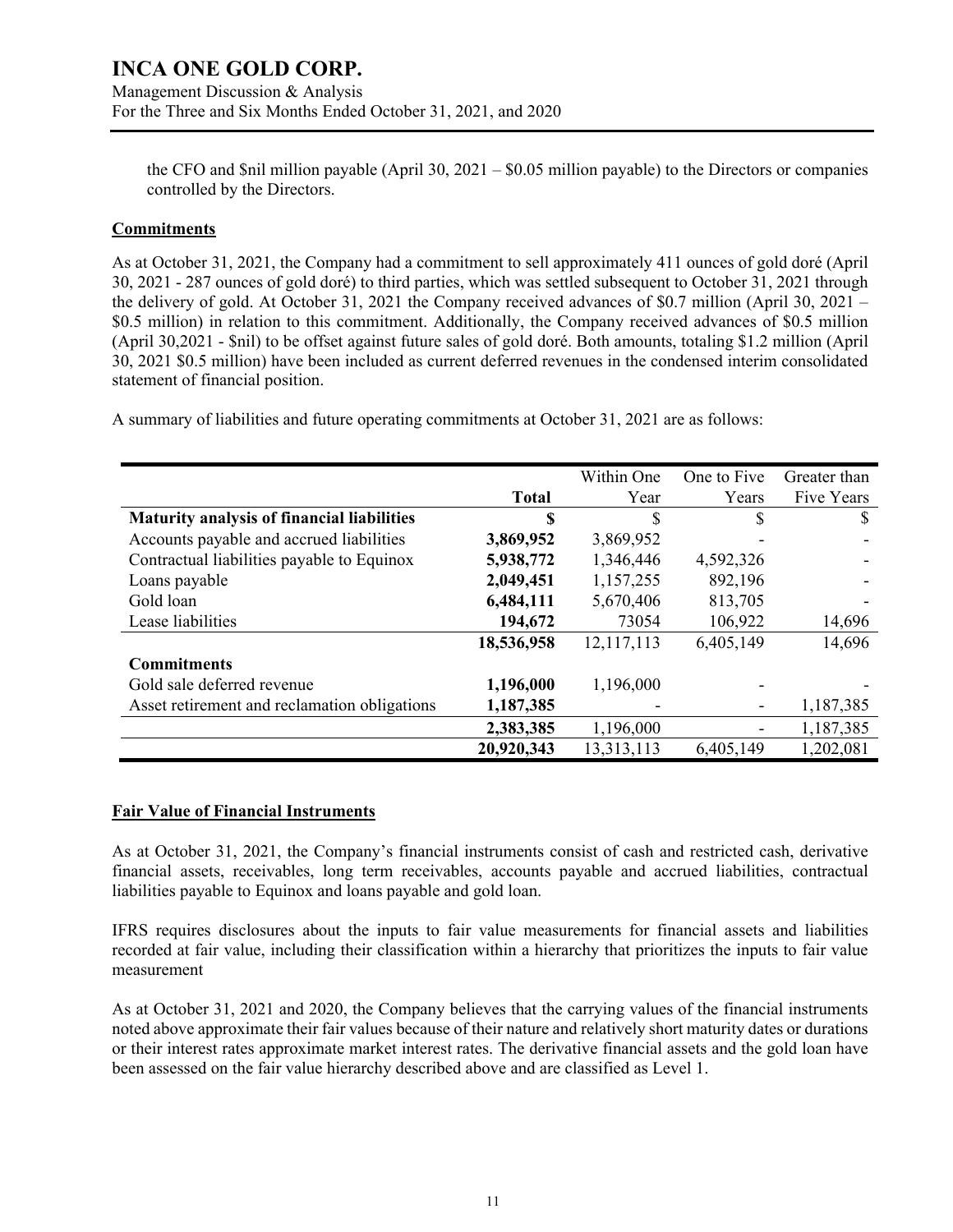the CFO and \$nil million payable (April 30, 2021 – \$0.05 million payable) to the Directors or companies controlled by the Directors.

#### **Commitments**

As at October 31, 2021, the Company had a commitment to sell approximately 411 ounces of gold doré (April 30, 2021 - 287 ounces of gold doré) to third parties, which was settled subsequent to October 31, 2021 through the delivery of gold. At October 31, 2021 the Company received advances of \$0.7 million (April 30, 2021 – \$0.5 million) in relation to this commitment. Additionally, the Company received advances of \$0.5 million (April 30,2021 - \$nil) to be offset against future sales of gold doré. Both amounts, totaling \$1.2 million (April 30, 2021 \$0.5 million) have been included as current deferred revenues in the condensed interim consolidated statement of financial position.

A summary of liabilities and future operating commitments at October 31, 2021 are as follows:

|                                              |              | Within One | One to Five | Greater than |
|----------------------------------------------|--------------|------------|-------------|--------------|
|                                              | <b>Total</b> | Year       | Years       | Five Years   |
| Maturity analysis of financial liabilities   | \$           | \$.        | \$          | S            |
| Accounts payable and accrued liabilities     | 3,869,952    | 3,869,952  |             |              |
| Contractual liabilities payable to Equinox   | 5,938,772    | 1,346,446  | 4,592,326   |              |
| Loans payable                                | 2,049,451    | 1,157,255  | 892,196     |              |
| Gold loan                                    | 6,484,111    | 5,670,406  | 813,705     |              |
| Lease liabilities                            | 194,672      | 73054      | 106,922     | 14,696       |
|                                              | 18,536,958   | 12,117,113 | 6,405,149   | 14,696       |
| <b>Commitments</b>                           |              |            |             |              |
| Gold sale deferred revenue                   | 1,196,000    | 1,196,000  |             |              |
| Asset retirement and reclamation obligations | 1,187,385    |            |             | 1,187,385    |
|                                              | 2,383,385    | 1,196,000  |             | 1,187,385    |
|                                              | 20,920,343   | 13,313,113 | 6,405,149   | 1,202,081    |

#### **Fair Value of Financial Instruments**

As at October 31, 2021, the Company's financial instruments consist of cash and restricted cash, derivative financial assets, receivables, long term receivables, accounts payable and accrued liabilities, contractual liabilities payable to Equinox and loans payable and gold loan.

IFRS requires disclosures about the inputs to fair value measurements for financial assets and liabilities recorded at fair value, including their classification within a hierarchy that prioritizes the inputs to fair value measurement

As at October 31, 2021 and 2020, the Company believes that the carrying values of the financial instruments noted above approximate their fair values because of their nature and relatively short maturity dates or durations or their interest rates approximate market interest rates. The derivative financial assets and the gold loan have been assessed on the fair value hierarchy described above and are classified as Level 1.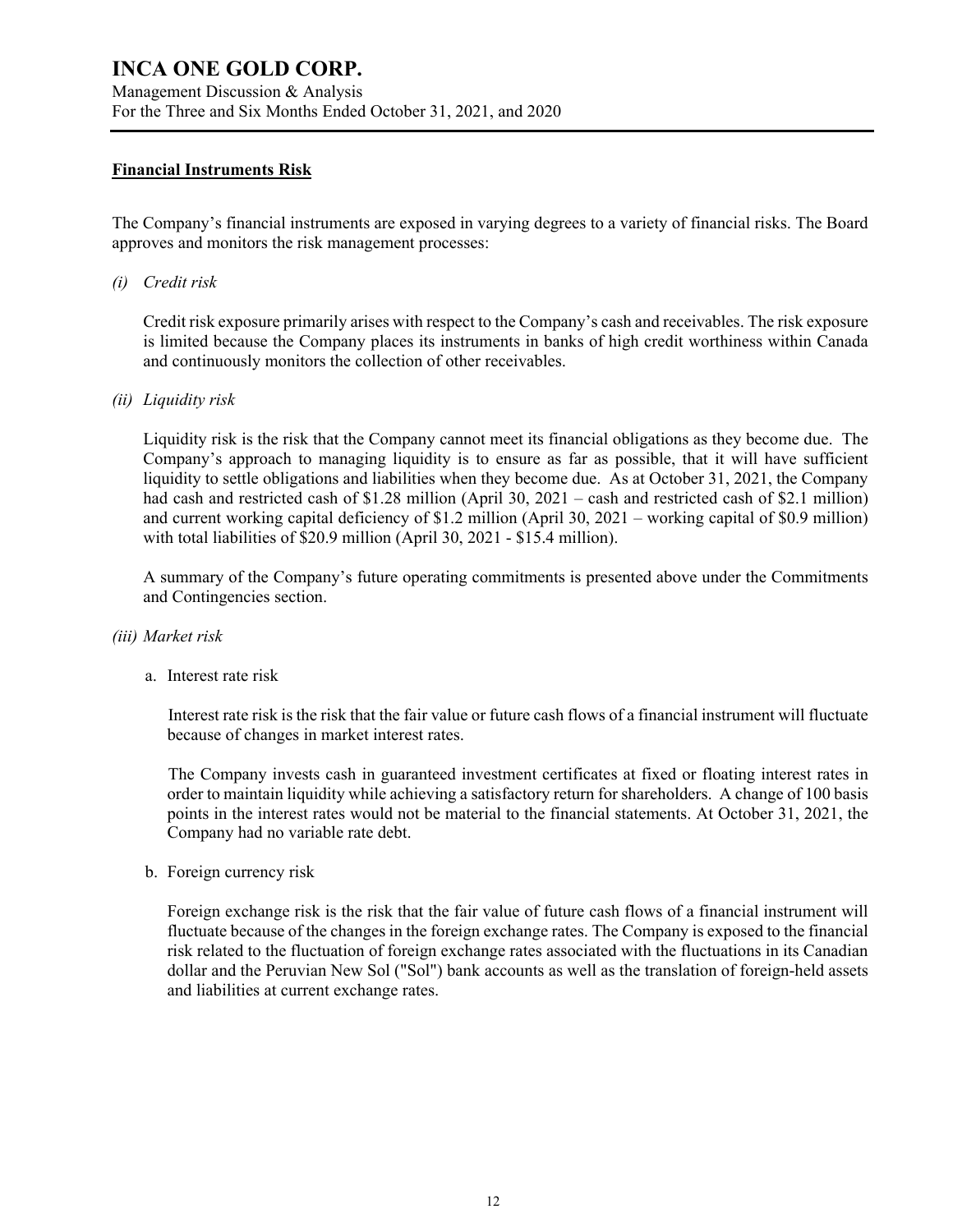#### **Financial Instruments Risk**

The Company's financial instruments are exposed in varying degrees to a variety of financial risks. The Board approves and monitors the risk management processes:

#### *(i) Credit risk*

Credit risk exposure primarily arises with respect to the Company's cash and receivables. The risk exposure is limited because the Company places its instruments in banks of high credit worthiness within Canada and continuously monitors the collection of other receivables.

#### *(ii) Liquidity risk*

Liquidity risk is the risk that the Company cannot meet its financial obligations as they become due. The Company's approach to managing liquidity is to ensure as far as possible, that it will have sufficient liquidity to settle obligations and liabilities when they become due. As at October 31, 2021, the Company had cash and restricted cash of \$1.28 million (April 30, 2021 – cash and restricted cash of \$2.1 million) and current working capital deficiency of \$1.2 million (April 30, 2021 – working capital of \$0.9 million) with total liabilities of \$20.9 million (April 30, 2021 - \$15.4 million).

A summary of the Company's future operating commitments is presented above under the Commitments and Contingencies section.

#### *(iii) Market risk*

a. Interest rate risk

 Interest rate risk is the risk that the fair value or future cash flows of a financial instrument will fluctuate because of changes in market interest rates.

 The Company invests cash in guaranteed investment certificates at fixed or floating interest rates in order to maintain liquidity while achieving a satisfactory return for shareholders. A change of 100 basis points in the interest rates would not be material to the financial statements. At October 31, 2021, the Company had no variable rate debt.

b. Foreign currency risk

Foreign exchange risk is the risk that the fair value of future cash flows of a financial instrument will fluctuate because of the changes in the foreign exchange rates. The Company is exposed to the financial risk related to the fluctuation of foreign exchange rates associated with the fluctuations in its Canadian dollar and the Peruvian New Sol ("Sol") bank accounts as well as the translation of foreign-held assets and liabilities at current exchange rates.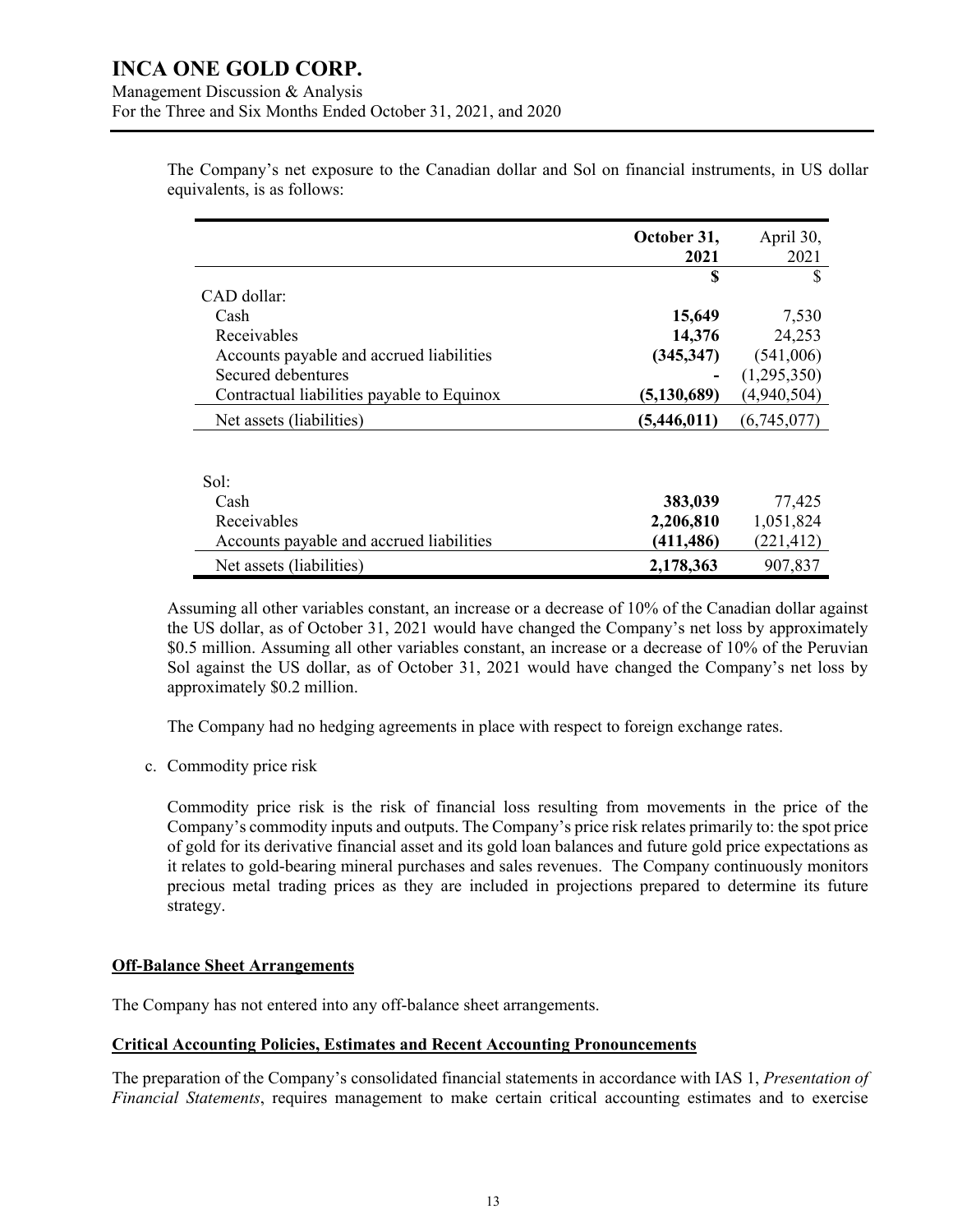|                                            | October 31,   | April 30,   |
|--------------------------------------------|---------------|-------------|
|                                            | 2021          | 2021        |
|                                            | S             | S           |
| CAD dollar:                                |               |             |
| Cash                                       | 15,649        | 7,530       |
| Receivables                                | 14,376        | 24,253      |
| Accounts payable and accrued liabilities   | (345, 347)    | (541,006)   |
| Secured debentures                         |               | (1,295,350) |
| Contractual liabilities payable to Equinox | (5, 130, 689) | (4,940,504) |
| Net assets (liabilities)                   | (5,446,011)   | (6,745,077) |
|                                            |               |             |
| Sol:                                       |               |             |
| Cash                                       | 383,039       | 77,425      |
| Receivables                                | 2,206,810     | 1,051,824   |
| Accounts payable and accrued liabilities   | (411, 486)    | (221, 412)  |
| Net assets (liabilities)                   | 2,178,363     | 907,837     |

The Company's net exposure to the Canadian dollar and Sol on financial instruments, in US dollar equivalents, is as follows:

Assuming all other variables constant, an increase or a decrease of 10% of the Canadian dollar against the US dollar, as of October 31, 2021 would have changed the Company's net loss by approximately \$0.5 million. Assuming all other variables constant, an increase or a decrease of 10% of the Peruvian Sol against the US dollar, as of October 31, 2021 would have changed the Company's net loss by approximately \$0.2 million.

The Company had no hedging agreements in place with respect to foreign exchange rates.

c. Commodity price risk

Commodity price risk is the risk of financial loss resulting from movements in the price of the Company's commodity inputs and outputs. The Company's price risk relates primarily to: the spot price of gold for its derivative financial asset and its gold loan balances and future gold price expectations as it relates to gold-bearing mineral purchases and sales revenues. The Company continuously monitors precious metal trading prices as they are included in projections prepared to determine its future strategy.

#### **Off-Balance Sheet Arrangements**

The Company has not entered into any off-balance sheet arrangements.

#### **Critical Accounting Policies, Estimates and Recent Accounting Pronouncements**

The preparation of the Company's consolidated financial statements in accordance with IAS 1, *Presentation of Financial Statements*, requires management to make certain critical accounting estimates and to exercise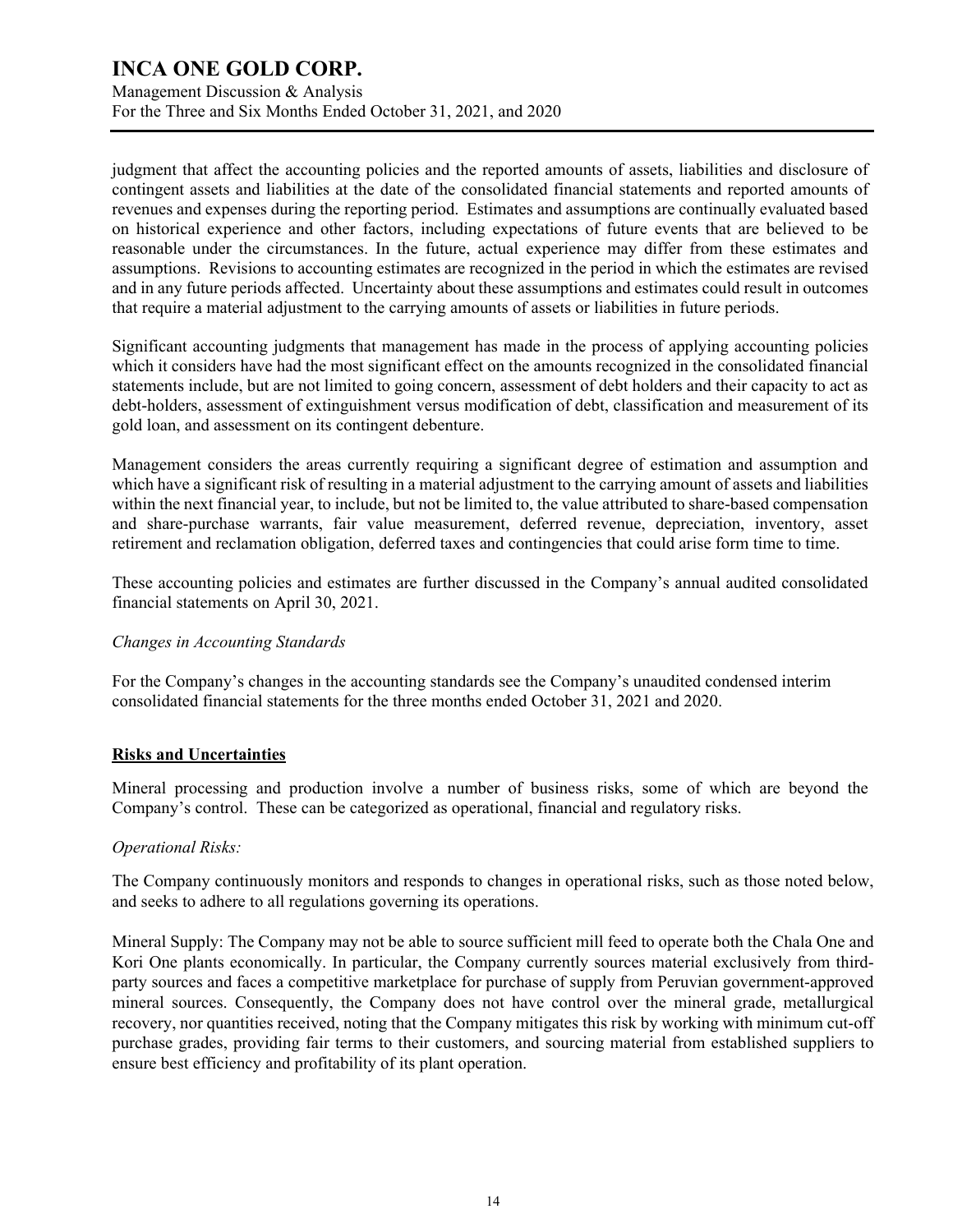Management Discussion & Analysis For the Three and Six Months Ended October 31, 2021, and 2020

judgment that affect the accounting policies and the reported amounts of assets, liabilities and disclosure of contingent assets and liabilities at the date of the consolidated financial statements and reported amounts of revenues and expenses during the reporting period. Estimates and assumptions are continually evaluated based on historical experience and other factors, including expectations of future events that are believed to be reasonable under the circumstances. In the future, actual experience may differ from these estimates and assumptions. Revisions to accounting estimates are recognized in the period in which the estimates are revised and in any future periods affected. Uncertainty about these assumptions and estimates could result in outcomes that require a material adjustment to the carrying amounts of assets or liabilities in future periods.

Significant accounting judgments that management has made in the process of applying accounting policies which it considers have had the most significant effect on the amounts recognized in the consolidated financial statements include, but are not limited to going concern, assessment of debt holders and their capacity to act as debt-holders, assessment of extinguishment versus modification of debt, classification and measurement of its gold loan, and assessment on its contingent debenture.

Management considers the areas currently requiring a significant degree of estimation and assumption and which have a significant risk of resulting in a material adjustment to the carrying amount of assets and liabilities within the next financial year, to include, but not be limited to, the value attributed to share-based compensation and share-purchase warrants, fair value measurement, deferred revenue, depreciation, inventory, asset retirement and reclamation obligation, deferred taxes and contingencies that could arise form time to time.

These accounting policies and estimates are further discussed in the Company's annual audited consolidated financial statements on April 30, 2021.

#### *Changes in Accounting Standards*

For the Company's changes in the accounting standards see the Company's unaudited condensed interim consolidated financial statements for the three months ended October 31, 2021 and 2020.

#### **Risks and Uncertainties**

Mineral processing and production involve a number of business risks, some of which are beyond the Company's control. These can be categorized as operational, financial and regulatory risks.

#### *Operational Risks:*

The Company continuously monitors and responds to changes in operational risks, such as those noted below, and seeks to adhere to all regulations governing its operations.

Mineral Supply: The Company may not be able to source sufficient mill feed to operate both the Chala One and Kori One plants economically. In particular, the Company currently sources material exclusively from thirdparty sources and faces a competitive marketplace for purchase of supply from Peruvian government-approved mineral sources. Consequently, the Company does not have control over the mineral grade, metallurgical recovery, nor quantities received, noting that the Company mitigates this risk by working with minimum cut-off purchase grades, providing fair terms to their customers, and sourcing material from established suppliers to ensure best efficiency and profitability of its plant operation.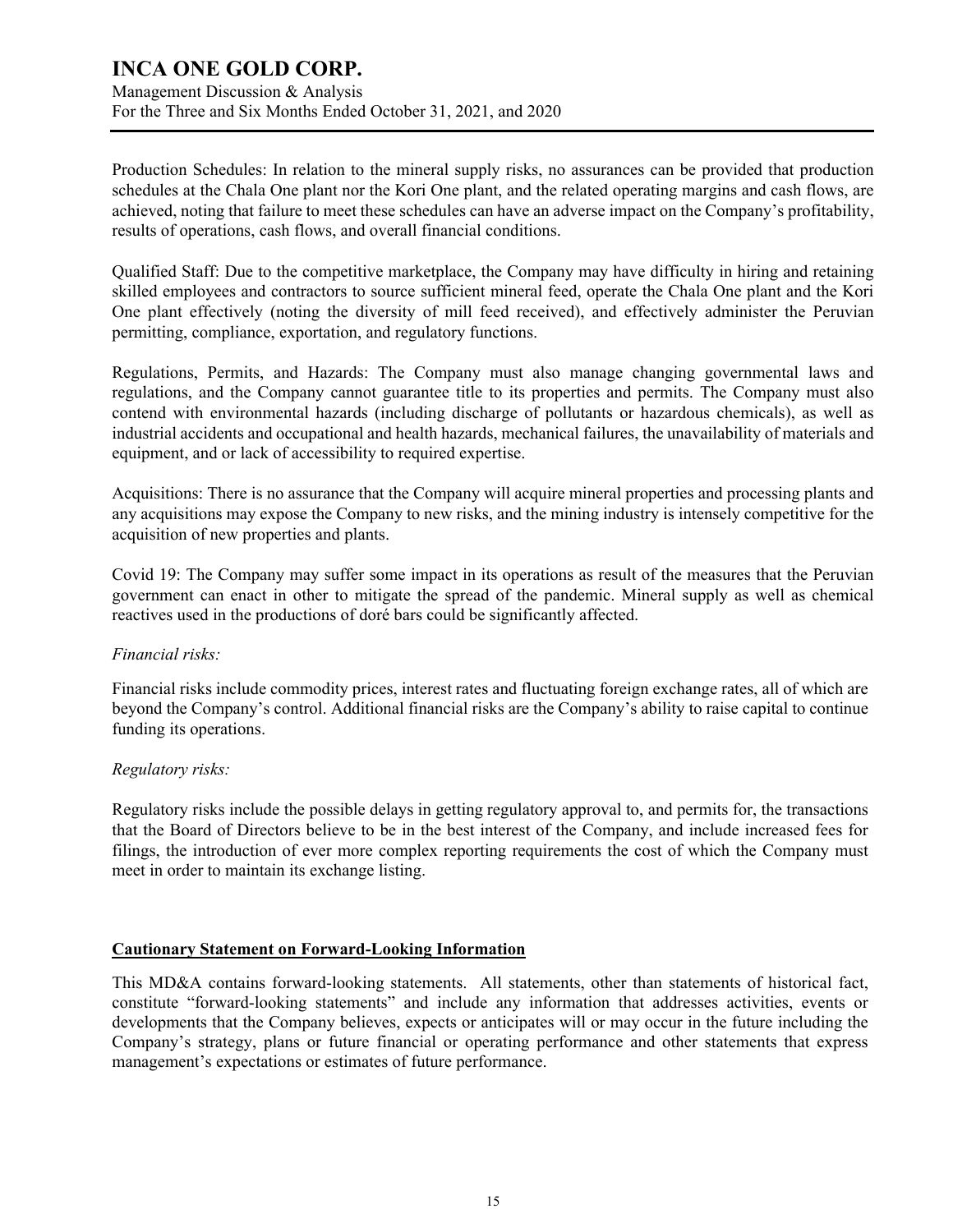Management Discussion & Analysis For the Three and Six Months Ended October 31, 2021, and 2020

Production Schedules: In relation to the mineral supply risks, no assurances can be provided that production schedules at the Chala One plant nor the Kori One plant, and the related operating margins and cash flows, are achieved, noting that failure to meet these schedules can have an adverse impact on the Company's profitability, results of operations, cash flows, and overall financial conditions.

Qualified Staff: Due to the competitive marketplace, the Company may have difficulty in hiring and retaining skilled employees and contractors to source sufficient mineral feed, operate the Chala One plant and the Kori One plant effectively (noting the diversity of mill feed received), and effectively administer the Peruvian permitting, compliance, exportation, and regulatory functions.

Regulations, Permits, and Hazards: The Company must also manage changing governmental laws and regulations, and the Company cannot guarantee title to its properties and permits. The Company must also contend with environmental hazards (including discharge of pollutants or hazardous chemicals), as well as industrial accidents and occupational and health hazards, mechanical failures, the unavailability of materials and equipment, and or lack of accessibility to required expertise.

Acquisitions: There is no assurance that the Company will acquire mineral properties and processing plants and any acquisitions may expose the Company to new risks, and the mining industry is intensely competitive for the acquisition of new properties and plants.

Covid 19: The Company may suffer some impact in its operations as result of the measures that the Peruvian government can enact in other to mitigate the spread of the pandemic. Mineral supply as well as chemical reactives used in the productions of doré bars could be significantly affected.

#### *Financial risks:*

Financial risks include commodity prices, interest rates and fluctuating foreign exchange rates, all of which are beyond the Company's control. Additional financial risks are the Company's ability to raise capital to continue funding its operations.

#### *Regulatory risks:*

Regulatory risks include the possible delays in getting regulatory approval to, and permits for, the transactions that the Board of Directors believe to be in the best interest of the Company, and include increased fees for filings, the introduction of ever more complex reporting requirements the cost of which the Company must meet in order to maintain its exchange listing.

#### **Cautionary Statement on Forward-Looking Information**

This MD&A contains forward-looking statements. All statements, other than statements of historical fact, constitute "forward-looking statements" and include any information that addresses activities, events or developments that the Company believes, expects or anticipates will or may occur in the future including the Company's strategy, plans or future financial or operating performance and other statements that express management's expectations or estimates of future performance.